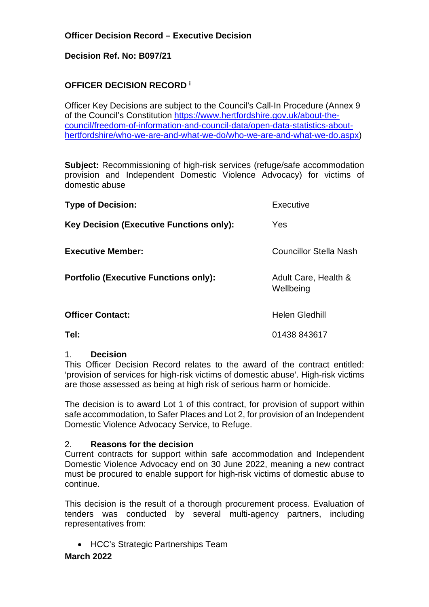## **Decision Ref. No: B097/21**

# **OFFICER DECISION RECORD <sup>i</sup>**

Officer Key Decisions are subject to the Council's Call-In Procedure (Annex 9 of the Council's Constitution [https://www.hertfordshire.gov.uk/about-the](https://www.hertfordshire.gov.uk/about-the-council/freedom-of-information-and-council-data/open-data-statistics-about-hertfordshire/who-we-are-and-what-we-do/who-we-are-and-what-we-do.aspx)[council/freedom-of-information-and-council-data/open-data-statistics-about](https://www.hertfordshire.gov.uk/about-the-council/freedom-of-information-and-council-data/open-data-statistics-about-hertfordshire/who-we-are-and-what-we-do/who-we-are-and-what-we-do.aspx)[hertfordshire/who-we-are-and-what-we-do/who-we-are-and-what-we-do.aspx\)](https://www.hertfordshire.gov.uk/about-the-council/freedom-of-information-and-council-data/open-data-statistics-about-hertfordshire/who-we-are-and-what-we-do/who-we-are-and-what-we-do.aspx)

**Subject:** Recommissioning of high-risk services (refuge/safe accommodation provision and Independent Domestic Violence Advocacy) for victims of domestic abuse

| <b>Type of Decision:</b>                        | Executive                         |
|-------------------------------------------------|-----------------------------------|
| <b>Key Decision (Executive Functions only):</b> | Yes                               |
| <b>Executive Member:</b>                        | <b>Councillor Stella Nash</b>     |
| <b>Portfolio (Executive Functions only):</b>    | Adult Care, Health &<br>Wellbeing |
| <b>Officer Contact:</b>                         | <b>Helen Gledhill</b>             |
| Tel:                                            | 01438 843617                      |

#### 1. **Decision**

This Officer Decision Record relates to the award of the contract entitled: 'provision of services for high-risk victims of domestic abuse'. High-risk victims are those assessed as being at high risk of serious harm or homicide.

The decision is to award Lot 1 of this contract, for provision of support within safe accommodation, to Safer Places and Lot 2, for provision of an Independent Domestic Violence Advocacy Service, to Refuge.

#### 2. **Reasons for the decision**

Current contracts for support within safe accommodation and Independent Domestic Violence Advocacy end on 30 June 2022, meaning a new contract must be procured to enable support for high-risk victims of domestic abuse to continue.

This decision is the result of a thorough procurement process. Evaluation of tenders was conducted by several multi-agency partners, including representatives from:

HCC's Strategic Partnerships Team

## **March 2022**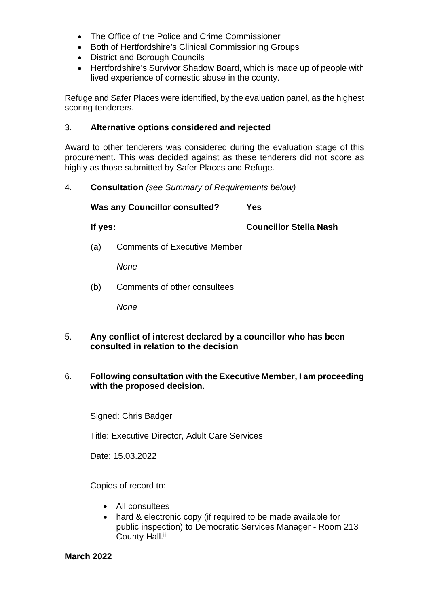- The Office of the Police and Crime Commissioner
- Both of Hertfordshire's Clinical Commissioning Groups
- District and Borough Councils
- Hertfordshire's Survivor Shadow Board, which is made up of people with lived experience of domestic abuse in the county.

Refuge and Safer Places were identified, by the evaluation panel, as the highest scoring tenderers.

#### 3. **Alternative options considered and rejected**

Award to other tenderers was considered during the evaluation stage of this procurement. This was decided against as these tenderers did not score as highly as those submitted by Safer Places and Refuge.

4. **Consultation** *(see Summary of Requirements below)*

**Was any Councillor consulted? Yes If yes: Councillor Stella Nash**  (a) Comments of Executive Member

*None* 

(b) Comments of other consultees

*None* 

- 5. **Any conflict of interest declared by a councillor who has been consulted in relation to the decision**
- 6. **Following consultation with the Executive Member, I am proceeding with the proposed decision.**

Signed: Chris Badger

Title: Executive Director, Adult Care Services

Date: 15.03.2022

Copies of record to:

- All consultees
- hard & electronic copy (if required to be made available for public inspection) to Democratic Services Manager - Room 213 County Hall.<sup>ii</sup>

**March 2022**